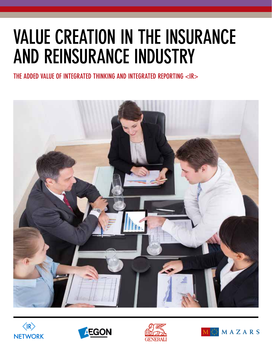# VALUE CREATION IN THE INSURANCE AND REINSURANCE INDUSTRY

THE ADDED VALUE OF INTEGRATED THINKING AND INTEGRATED REPORTING <IR>









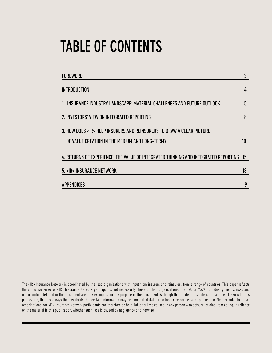# TABLE OF CONTENTS

| <b>FOREWORD</b>                                                                     | 3  |
|-------------------------------------------------------------------------------------|----|
| INTRODUCTION                                                                        | 4  |
| 1. INSURANCE INDUSTRY LANDSCAPE: MATERIAL CHALLENGES AND FUTURE OUTLOOK             | 5  |
| 2. INVESTORS' VIEW ON INTEGRATED REPORTING                                          | 8  |
| 3. HOW DOES <ir> HELP INSURERS AND REINSURERS TO DRAW A CLEAR PICTURE</ir>          |    |
| OF VALUE CREATION IN THE MEDIUM AND LONG-TERM?                                      | 10 |
| 4. RETURNS OF EXPERIENCE: THE VALUE OF INTEGRATED THINKING AND INTEGRATED REPORTING | 15 |
| 5. < IR > INSURANCE NETWORK                                                         | 18 |
| APPENDICES                                                                          | 19 |
|                                                                                     |    |

The <IR> Insurance Network is coordinated by the lead organizations with input from insurers and reinsurers from a range of countries. This paper reflects the collective views of <IR> Insurance Network participants, not necessarily those of their organizations, the IIRC or MAZARS. Industry trends, risks and opportunities detailed in this document are only examples for the purpose of this document. Although the greatest possible care has been taken with this publication, there is always the possibility that certain information may become out of date or no longer be correct after publication. Neither publisher, lead organizations nor <IR> Insurance Network participants can therefore be held liable for loss caused to any person who acts, or refrains from acting, in reliance on the material in this publication, whether such loss is caused by negligence or otherwise.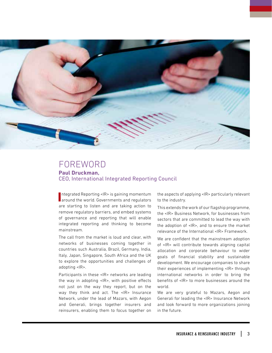

## FOREWORD **Paul Druckman,**  CEO, International Integrated Reporting Council

Integrated Reporting <IR> is gaining momentum<br>Integrated the world. Governments and regulators ntegrated Reporting <IR> is gaining momentum are starting to listen and are taking action to remove regulatory barriers, and embed systems of governance and reporting that will enable integrated reporting and thinking to become mainstream.

The call from the market is loud and clear, with networks of businesses coming together in countries such Australia, Brazil, Germany, India, Italy, Japan, Singapore, South Africa and the UK to explore the opportunities and challenges of adopting <IR>.

Participants in these <IR> networks are leading the way in adopting <IR>, with positive effects not just on the way they report, but on the way they think and act. The <IR> Insurance Network, under the lead of Mazars, with Aegon and Generali, brings together insurers and reinsurers, enabling them to focus together on the aspects of applying <IR> particularly relevant to the industry.

This extends the work of our flagship programme, the <IR> Business Network, for businesses from sectors that are committed to lead the way with the adoption of <IR>, and to ensure the market relevance of the International <IR> Framework.

We are confident that the mainstream adoption of <IR> will contribute towards aligning capital allocation and corporate behaviour to wider goals of financial stability and sustainable development. We encourage companies to share their experiences of implementing <IR> through international networks in order to bring the benefits of <IR> to more businesses around the world.

We are very grateful to Mazars, Aegon and Generali for leading the <IR> Insurance Network and look forward to more organizations joining in the future.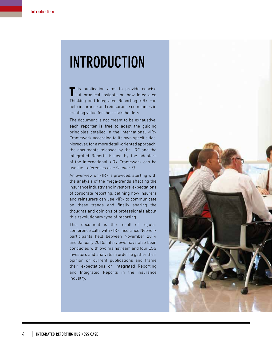# INTRODUCTION

This publication aims to provide concise<br>but practical insights on how Integrated This publication aims to provide concise Thinking and Integrated Reporting <IR> can help insurance and reinsurance companies in creating value for their stakeholders.

The document is not meant to be exhaustive: each reporter is free to adapt the guiding principles detailed in the International <IR> Framework according to its own specificities. Moreover, for a more detail-oriented approach, the documents released by the IIRC and the Integrated Reports issued by the adopters of the International <IR> Framework can be used as references *(see Chapter 5)*.

An overview on <IR> is provided, starting with the analysis of the mega-trends affecting the insurance industry and investors' expectations of corporate reporting, defining how insurers and reinsurers can use <IR> to communicate on these trends and finally sharing the thoughts and opinions of professionals about this revolutionary type of reporting.

This document is the result of regular conference calls with <IR> Insurance Network participants held between November 2014 and January 2015. Interviews have also been conducted with two mainstream and four ESG investors and analysts in order to gather their opinion on current publications and frame their expectations on Integrated Reporting and Integrated Reports in the insurance industry.

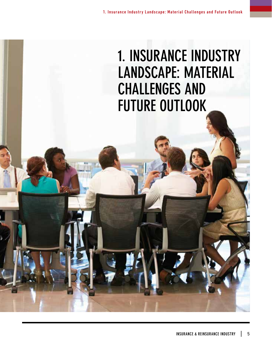# 1. INSURANCE INDUSTRY LANDSCAPE: MATERIAL CHALLENGES AND FUTURE OUTLOOK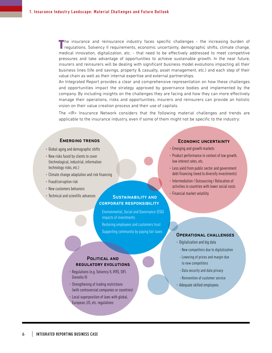T he insurance and reinsurance industry faces specific challenges - the increasing burden of regulations, Solvency II requirements, economic uncertainty, demographic shifts, climate change, medical innovation, digitalization, etc. - that need to be effectively addressed to meet competitive pressures and take advantage of opportunities to achieve sustainable growth. In the near future, insurers and reinsurers will be dealing with significant business model evolutions impacting all their business lines (life and savings, property & casualty, asset management, etc.) and each step of their value chain as well as their internal expertise and external partnerships.

An Integrated Report provides a clear and comprehensive representation on how these challenges and opportunities impact the strategy approved by governance bodies and implemented by the company. By including insights on the challenges they are facing and how they can more effectively manage their operations, risks and opportunities, insurers and reinsurers can provide an holistic vision on their value creation process and their use of capitals.

The <IR> Insurance Network considers that the following material challenges and trends are applicable to the insurance industry, even if some of them might not be specific to the industry:

#### Emerging trends

- Global aging and demographic shifts
- New risks faced by clients to cover (technological, industrial, information technology risks, etc.)
- Climate change adaptation and risk financing
- Fraud/corruption risk
- New customers behaviors
- Technical and scientific advances

#### SUSTAINABILITY AND corporate responsibility

- Environmental, Social and Governance (ESG) impacts of investments
- Restoring employees and customers trust • Supporting community by paying fair taxes

#### Political and regulatory evolutions

- Regulations (e.g. Solvency II, IFRS, SIFI, Grenelle II)
- Strengthening of trading restrictions (with controversial companies or countries)
- Local superposition of laws with global, European, US, etc. regulations

#### Economic uncertainty

- Emerging and growth markets
- Product performance in context of low growth, low interest rates, etc.
- Less yield from public sector and government debt financing (need to diversify investments)
- Intermediation / Outsourcing / Relocation of activities in countries with lower social costs
- Financial market volatility

#### Operational challenges

- Digitalization and big data
- New competitors due to digitalization
- Lowering of prices and margin due to new competitors
- Data security and data privacy
- Reinvention of customer service
- Adequate skilled employees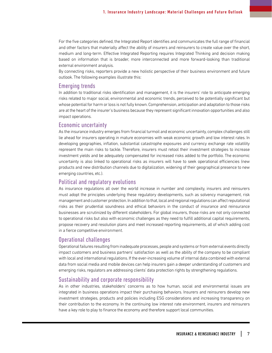For the five categories defined, the Integrated Report identifies and communicates the full range of financial and other factors that materially affect the ability of insurers and reinsurers to create value over the short, medium and long-term. Effective Integrated Reporting requires Integrated Thinking and decision making based on information that is broader, more interconnected and more forward-looking than traditional external environment analysis.

By connecting risks, reporters provide a new holistic perspective of their business environment and future outlook. The following examples illustrate this:

#### Emerging trends

In addition to traditional risks identification and management, it is the insurers' role to anticipate emerging risks related to major social, environmental and economic trends, perceived to be potentially significant but whose potential for harm or loss is not fully known. Comprehension, anticipation and adaptation to those risks are at the heart of the insurer's business because they represent significant innovation opportunities and also impact operations.

#### Economic uncertainty

As the insurance industry emerges from financial turmoil and economic uncertainty, complex challenges still lie ahead for insurers operating in mature economies with weak economic growth and low interest rates. In developing geographies, inflation, substantial catastrophe exposures and currency exchange rate volatility represent the main risks to tackle. Therefore, insurers must retool their investment strategies to increase investment yields and be adequately compensated for increased risks added to the portfolio. The economic uncertainty is also linked to operational risks as insurers will have to seek operational efficiencies (new products and new distribution channels due to digitalization, widening of their geographical presence to new emerging countries, etc.).

#### Political and regulatory evolutions

As insurance regulations all over the world increase in number and complexity, insurers and reinsurers must adopt the principles underlying these regulatory developments, such as solvency management, risk management and customer protection. In addition to that, local and regional regulations can affect reputational risks as their prudential soundness and ethical behaviors in the conduct of insurance and reinsurance businesses are scrutinized by different stakeholders. For global insurers, those risks are not only connected to operational risks but also with economic challenges as they need to fulfill additional capital requirements, propose recovery and resolution plans and meet increased reporting requirements, all of which adding cost in a fierce competitive environment.

#### Operational challenges

Operational failures resulting from inadequate processes, people and systems or from external events directly impact customers and business partners' satisfaction as well as the ability of the company to be compliant with local and international regulations. If the ever-increasing volume of internal data combined with external data from social media and mobile devices can help insurers gain a deeper understanding of customers and emerging risks, regulators are addressing clients' data protection rights by strengthening regulations.

#### Sustainability and corporate responsibility

As in other industries, stakeholders' concerns as to how human, social and environmental issues are integrated in business operations impact their purchasing behaviors. Insurers and reinsurers develop new investment strategies, products and policies including ESG considerations and increasing transparency on their contribution to the economy. In the continuing low interest rate environment, insurers and reinsurers have a key role to play to finance the economy and therefore support local communities.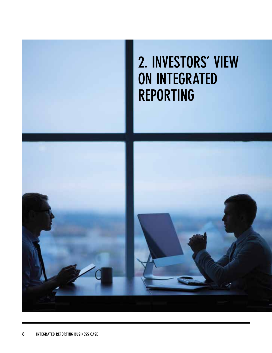

# 2. INVESTORS' VIEW ON INTEGRATED REPORTING

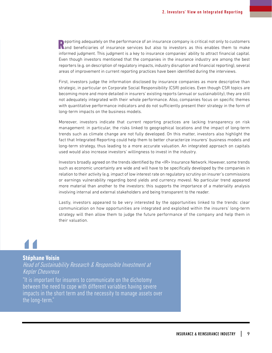**A** eporting adequately on the performance of an insurance company is critical not only to customers **Nand beneficiaries** of insurance services but also to investors as this enables them to make informed judgment. This judgment is a key to insurance companies' ability to attract financial capital. Even though investors mentioned that the companies in the insurance industry are among the best reporters (e.g. on description of regulatory impacts, industry disruption and financial reporting), several areas of improvement in current reporting practices have been identified during the interviews.

First, investors judge the information disclosed by insurance companies as more descriptive than strategic, in particular on Corporate Social Responsibility (CSR) policies. Even though CSR topics are becoming more and more detailed in insurers' existing reports (annual or sustainability), they are still not adequately integrated with their whole performance. Also, companies focus on specific themes with quantitative performance indicators and do not sufficiently present their strategy in the form of long-term impacts on the business models.

Moreover, investors indicate that current reporting practices are lacking transparency on risk management: in particular, the risks linked to geographical locations and the impact of long-term trends such as climate change are not fully developed. On this matter, investors also highlight the fact that Integrated Reporting could help them to better characterize insurers' business models and long-term strategy, thus leading to a more accurate valuation. An integrated approach on capitals used would also increase investors' willingness to invest in the industry.

Investors broadly agreed on the trends identified by the <IR>Insurance Network. However, some trends such as economic uncertainty are wide and will have to be specifically developed by the companies in relation to their activity (e.g. impact of low interest rate on regulatory scrutiny on insurer's commissions or earnings vulnerability regarding bond yields and currency moves). No particular trend appeared more material than another to the investors: this supports the importance of a materiality analysis involving internal and external stakeholders and being transparent to the reader.

Lastly, investors appeared to be very interested by the opportunities linked to the trends: clear communication on how opportunities are integrated and exploited within the insurers' long-term strategy will then allow them to judge the future performance of the company and help them in their valuation.

# Stéphan<br>
Head of<br>
Kepler C<br>
"It is imp

#### **Stéphane Voisin**

Head of Sustainability Research & Responsible Investment at Kepler Cheuvreux

"It is important for insurers to communicate on the dichotomy between the need to cope with different variables having severe impacts in the short term and the necessity to manage assets over the long-term."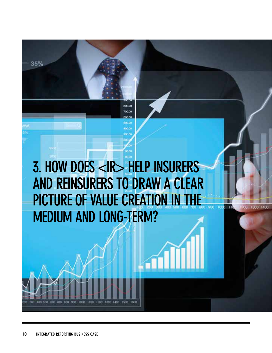# 3. HOW DOES <IR> HELP INSURERS AND REINSURERS TO DRAW A CLEAR PICTURE OF VALUE CREATION IN THE MEDIUM AND LONG-TERM?

900 1000

 $\overline{11}$ 

200

800.00 700.00

> **Sab Fat LOO DE**

900 1000 1100 1200 1300 1400 1500

400 500 600 700 800

35%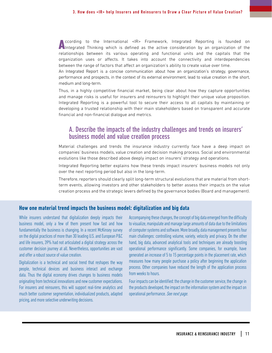According to the International <IR> Framework, Integrated Reporting is founded on Integrated Thinking which is defined as the active consideration by an organization of the relationships between its various operating and functional units and the capitals that the organization uses or affects. It takes into account the connectivity and interdependencies between the range of factors that affect an organization's ability to create value over time.

An Integrated Report is a concise communication about how an organization's strategy, governance, performance and prospects, in the context of its external environment, lead to value creation in the short, medium and long-term.

Thus, in a highly competitive financial market, being clear about how they capture opportunities and manage risks is useful for insurers and reinsurers to highlight their unique value proposition. Integrated Reporting is a powerful tool to secure their access to all capitals by maintaining or developing a trusted relationship with their main stakeholders based on transparent and accurate financial and non-financial dialogue and metrics.

### A. Describe the impacts of the industry challenges and trends on insurers' business model and value creation process

Material challenges and trends the insurance industry currently face have a deep impact on companies' business models, value creation and decision making process. Social and environmental evolutions like those described above deeply impact on insurers' strategy and operations.

Integrated Reporting better explains how these trends impact insurers' business models not only over the next reporting period but also in the long-term.

Therefore, reporters should clearly split long-term structural evolutions that are material from shortterm events, allowing investors and other stakeholders to better assess their impacts on the value creation process and the strategic levers defined by the governance bodies (Board and management).

#### **How one material trend impacts the business model: digitalization and big data**

While insurers understand that digitalization deeply impacts their business model, only a few of them present how fast and how fundamentally the business is changing. In a recent McKinsey survey on the digital practices of more than 30 leading U.S. and European P&C and life insurers, 39% had not articulated a digital strategy across the customer decision journey at all. Nevertheless, opportunities are vast and offer a robust source of value creation.

Digitalization is a technical and social trend that reshapes the way people, technical devices and business interact and exchange data. Thus the digital economy drives changes to business models originating from technical innovations and new customer expectations. For insurers and reinsurers, this will support real-time analytics and much better customer segmentation, individualized products, adapted pricing, and more selective underwriting decisions.

Accompanying these changes, the concept of big data emerged from the difficulty to visualize, manipulate and manage large amounts of data due to the limitations of computer systems and software. More broadly, data management presents four main challenges: controlling volume, variety, velocity and privacy. On the other hand, big data, advanced analytical tools and techniques are already boosting operational performance significantly. Some companies, for example, have generated an increase of 5 to 15 percentage points in the placement rate, which measures how many people purchase a policy after beginning the application process. Other companies have reduced the length of the application process from weeks to hours.

Four impacts can be identified: the change in the customer service, the change in the products developed, the impact on the information system and the impact on operational performance. See next page.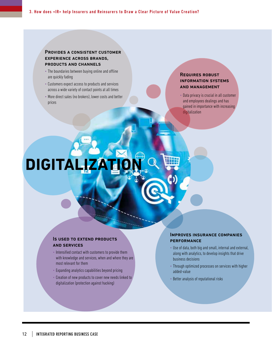#### Provides a consistent customer experience across brands, products and channels

- The boundaries between buying online and offline are quickly fading
- Customers expect access to products and services across a wide variety of contact points at all times
- More direct sales (no brokers), lower costs and better prices

#### Requires robust information systems and management

• Data privacy is crucial in all customer and employees dealings and has gained in importance with increasing digitalization

# **DIGITALIZ**

#### Is used to extend products and services

- Intensified contact with customers to provide them with knowledge and services, when and where they are most relevant for them
- Expanding analytics capabilities beyond pricing
- Creation of new products to cover new needs linked to digitalization (protection against hacking)

#### Improves insurance companies **PERFORMANCE**

- Use of data, both big and small, internal and external, along with analytics, to develop insights that drive business decisions
- Through optimized processes on services with higher added-value
- Better analysis of reputational risks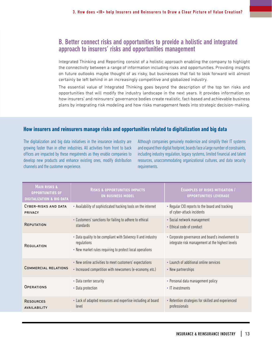## B. Better connect risks and opportunities to provide a holistic and integrated approach to insurers' risks and opportunities management

Integrated Thinking and Reporting consist of a holistic approach enabling the company to highlight the connectivity between a range of information including risks and opportunities. Providing insights on future outlooks maybe thought of as risky, but businesses that fail to look forward will almost certainly be left behind in an increasingly competitive and globalized industry.

The essential value of Integrated Thinking goes beyond the description of the top ten risks and opportunities that will modify the industry landscape in the next years. It provides information on how insurers' and reinsurers' governance bodies create realistic, fact-based and achievable business plans by integrating risk modeling and how risks management feeds into strategic decision-making.

#### **How insurers and reinsurers manage risks and opportunities related to digitalization and big data**

The digitalization and big data initiatives in the insurance industry are growing faster than in other industries. All activities from front to back offices are impacted by these megatrends as they enable companies to develop new products and enhance existing ones, modify distribution channels and the customer experience.

Although companies genuinely modernize and simplify their IT systems and expand their digital footprint, boards face a large number of constraints, including industry regulation, legacy systems, limited financial and talent resources, unaccommodating organizational cultures, and data security requirements.

| <b>MAIN RISKS &amp;</b><br><b>OPPORTUNITIES OF</b><br><b>DIGITALIZATION &amp; BIG DATA</b> | <b>RISKS &amp; OPPORTUNITIES IMPACTS</b><br><b>ON BUSINESS MODEL</b>                                                                    | <b>EXAMPLES OF RISKS MITIGATION</b><br><b>OPPORTUNITIES LEVERAGE</b>                                 |
|--------------------------------------------------------------------------------------------|-----------------------------------------------------------------------------------------------------------------------------------------|------------------------------------------------------------------------------------------------------|
| CYBER-RISKS AND DATA<br>PRIVACY                                                            | • Availability of sophisticated hacking tools on the internet                                                                           | • Regular CIO reports to the board and tracking<br>of cyber-attack incidents                         |
| <b>REPUTATION</b>                                                                          | • Customers' sanctions for failing to adhere to ethical<br>standards                                                                    | • Social network management<br>• Ethical code of conduct                                             |
| <b>REGULATION</b>                                                                          | . Data quality to be compliant with Solvency II and industry<br>regulations<br>• New market rules requiring to protect local operations | • Corporate governance and board's involvement to<br>integrate risk management at the highest levels |
| <b>COMMERCIAL RELATIONS</b>                                                                | • New online activities to meet customers' expectations<br>• Increased competition with newcomers (e-economy, etc.)                     | • Launch of additional online services<br>• New partnerships                                         |
| OPERATIONS                                                                                 | • Data center security<br>• Data protection                                                                                             | • Personal data management policy<br>• IT investments                                                |
| <b>RESOURCES</b><br><b>AVAILABILITY</b>                                                    | • Lack of adapted resources and expertise including at board<br>level                                                                   | • Retention strategies for skilled and experienced<br>professionals                                  |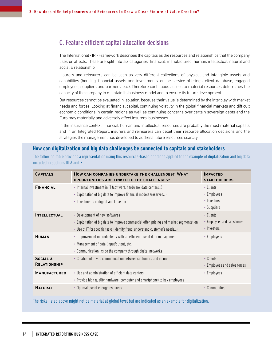## C. Feature efficient capital allocation decisions

The International <IR> Framework describes the capitals as the resources and relationships that the company uses or affects. These are split into six categories: financial, manufactured, human, intellectual, natural and social & relationship.

Insurers and reinsurers can be seen as very different collections of physical and intangible assets and capabilities (housing, financial assets and investments, online service offerings, client database, engaged employees, suppliers and partners, etc.). Therefore continuous access to material resources determines the capacity of the company to maintain its business model and to ensure its future development.

But resources cannot be evaluated in isolation, because their value is determined by the interplay with market needs and forces. Looking at financial capital, continuing volatility in the global financial markets and difficult economic conditions in certain regions as well as continuing concerns over certain sovereign debts and the Euro may materially and adversely affect insurers' businesses.

In the insurance context, financial, human and intellectual resources are probably the most material capitals and in an Integrated Report, insurers and reinsurers can detail their resource allocation decisions and the strategies the management has developed to address future resources scarcity.

#### **How can digitalization and big data challenges be connected to capitals and stakeholders**

The following table provides a representation using this resources-based approach applied to the example of digitalization and big data included in sections III A and B:

| <b>CAPITALS</b>                            | HOW CAN COMPANIES UNDERTAKE THE CHALLENGES? WHAT<br>OPPORTUNITIES ARE LINKED TO THE CHALLENGES?                                                                                                           | <b>IMPACTED</b><br><b>STAKEHOLDERS</b>                   |
|--------------------------------------------|-----------------------------------------------------------------------------------------------------------------------------------------------------------------------------------------------------------|----------------------------------------------------------|
| <b>FINANCIAL</b>                           | • Internal investment in IT (software, hardware, data centers)<br>• Exploitation of big data to improve financial models (reserves)<br>• Investments in digital and IT sector                             | • Clients<br>• Employees<br>• Investors<br>• Suppliers   |
| <b>INTELLECTUAL</b>                        | • Development of new softwares<br>• Exploitation of big data to improve commercial offer, pricing and market segmentation<br>• Use of IT for specific tasks (identify fraud, understand customer's needs) | • Clients<br>• Employees and sales forces<br>• Investors |
| <b>HUMAN</b>                               | • Improvement in productivity with an efficient use of data management<br>• Management of data (input/output, etc.)<br>• Communication inside the company through digital networks                        | • Employees                                              |
| <b>SOCIAL &amp;</b><br><b>RELATIONSHIP</b> | • Creation of a web communication between customers and insurers                                                                                                                                          | • Clients<br>• Employees and sales forces                |
| <b>MANUFACTURED</b>                        | • Use and administration of efficient data centers<br>• Provide high quality hardware (computer and smartphone) to key employees                                                                          | • Employees                                              |
| <b>NATURAL</b>                             | • Optimal use of energy resources                                                                                                                                                                         | • Communities                                            |

The risks listed above might not be material at global level but are indicated as an example for digitalization.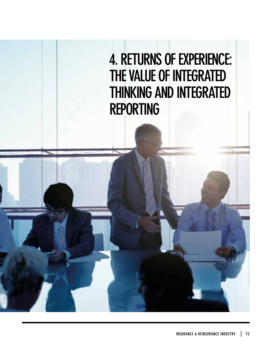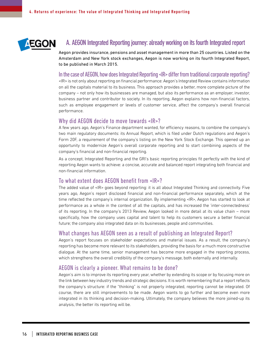

## A. AEGON Integrated Reporting journey: already working on its fourth Integrated report

Aegon provides insurance, pensions and asset management in more than 25 countries. Listed on the Amsterdam and New York stock exchanges, Aegon is now working on its fourth Integrated Report, to be published in March 2015.

#### In the case of AEGON, how does Integrated Reporting <IR> differ from traditional corporate reporting?

<IR> is not only about reporting on financial performance: Aegon's Integrated Review contains information on all the capitals material to its business. This approach provides a better, more complete picture of the company – not only how its businesses are managed, but also its performance as an employer, investor, business partner and contributor to society. In its reporting, Aegon explains how non-financial factors, such as employee engagement or levels of customer service, affect the company's overall financial performance.

#### Why did AEGON decide to move towards <IR>?

A few years ago, Aegon's Finance department wanted, for efficiency reasons, to combine the company's two main regulatory documents: its Annual Report, which is filed under Dutch regulations and Aegon's Form 20F, a requirement of the company's listing on the New York Stock Exchange. This opened up an opportunity to modernize Aegon's overall corporate reporting and to start combining aspects of the company's financial and non-financial reporting.

As a concept, Integrated Reporting and the GRI's basic reporting principles fit perfectly with the kind of reporting Aegon wants to achieve: a concise, accurate and balanced report integrating both financial and non-financial information.

#### To what extent does AEGON benefit from <IR>?

The added value of <IR> goes beyond reporting: it is all about Integrated Thinking and connectivity. Five years ago, Aegon's report disclosed financial and non-financial performance separately, which at the time reflected the company's internal organization. By implementing <IR>, Aegon has started to look at performance as a whole in the context of all the capitals, and has increased the 'inter-connectedness' of its reporting. In the company's 2013 Review, Aegon looked in more detail at its value chain – more specifically, how the company uses capital and talent to help its customers secure a better financial future; the company also integrated data on its businesses, people and communities.

#### What changes has AEGON seen as a result of publishing an Integrated Report?

Aegon's report focuses on stakeholder expectations and material issues. As a result, the company's reporting has become more relevant to its stakeholders, providing the basis for a much more constructive dialogue. At the same time, senior management has become more engaged in the reporting process, which strengthens the overall credibility of the company's message, both externally and internally.

#### AEGON is clearly a pioneer. What remains to be done?

Aegon's aim is to improve its reporting every year, whether by extending its scope or by focusing more on the link between key industry trends and strategic decisions. It is worth remembering that a report reflects the company's structure: if the "thinking" is not properly integrated, reporting cannot be integrated. Of course, there are still improvements to be made. Aegon wants to go further and become even more integrated in its thinking and decision-making. Ultimately, the company believes the more joined-up its analysis, the better its reporting will be.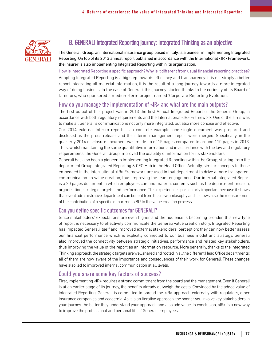

# B. GENERALI Integrated Reporting journey: Integrated Thinking as an objective

The Generali Group, an international insurance group based in Italy, is a pioneer in implementing Integrated Reporting. On top of its 2013 annual report published in accordance with the International <IR> Framework, the insurer is also implementing Integrated Reporting within its organization.

How is Integrated Reporting a specific approach? Why is it different from usual financial reporting practices?

Adopting Integrated Reporting is a big step towards efficiency and transparency: it is not simply a better report integrating all material information, it is the result of a long journey towards a more integrated way of doing business. In the case of Generali, this journey started thanks to the curiosity of its Board of Directors, who sponsored a medium-term project named 'Corporate Reporting Evolution'.

#### How do you manage the implementation of <IR> and what are the main outputs?

The first output of this project was in 2013 the first Annual Integrated Report of the Generali Group, in accordance with both regulatory requirements and the International <IR> Framework. One of the aims was to make all Generali's communications not only more integrated, but also more concise and effective.

Our 2014 external interim reports is a concrete example: one single document was prepared and disclosed as the press release and the interim management report were merged. Specifically, in the quarterly 2014 disclosure document was made up of 15 pages compared to around 110 pages in 2013. Thus, whilst maintaining the same quantitative information and in accordance with the law and regulatory requirements, the Generali Group improved the usability of information for its stakeholders.

Generali has also been a pioneer in implementing Integrated Reporting within the Group, starting from the department Group Integrated Reporting & CFO Hub in the Head Office. Actually, similar concepts to those embedded in the International <IR> Framework are used in that department to drive a more transparent communication on value creation, thus improving the team engagement. Our internal Integrated Report is a 20 pages document in which employees can find material contents such as the department mission, organization, strategic targets and performance. This experience is particularly important because it shows that event administrative department can benefit from this new philosophy and it allows also the measurement of the contribution of a specific department/BU to the value creation process.

#### Can you define specific outcomes for GENERALI?

Since stakeholders' expectations are even higher and the audience is becoming broader, this new type of report is necessary to effectively communicate the Generali value creation story. Integrated Reporting has impacted Generali itself and improved external stakeholders' perception: they can now better assess our financial performance which is explicitly connected to our business model and strategy. Generali also improved the connectivity between strategic initiatives, performance and related key stakeholders, thus improving the value of the report as an information resource. More generally, thanks to the Integrated Thinking approach, the strategic targets are well shared and rooted in all the different Head Office departments: all of them are now aware of the importance and consequences of their work for Generali. These changes have also led to improved internal communication at all levels.

#### Could you share some key factors of success?

First, implementing <IR> requires a strong commitment from the board and the management. Even if Generali is at an earlier stage of its journey, the benefits already outweigh the costs. Convinced by the added value of Integrated Reporting, Generali is committed to spread the <IR> approach externally with regulators, other insurance companies and academia. As it is an iterative approach, the sooner you involve key stakeholders in your journey, the better they understand your approach and also add value. In conclusion, <IR> is a new way to improve the professional and personal life of Generali employees.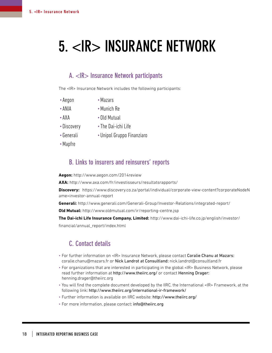# 5. <IR> INSURANCE NETWORK

## A. <IR> Insurance Network participants

The <IR> Insurance Network includes the following participants:

- Aegon Mazars
- •ANIA •Munich Re
- 
- •AXA Old Mutual
- Discovery The Dai-ichi Life
	-
- 
- •Generali Unipol Gruppo Finanziaro
- •Mapfre

## B. Links to insurers and reinsurers' reports

**Aegon:** http://www.aegon.com/2014review

**AXA:** http://www.axa.com/fr/investisseurs/resultatsrapports/

**Discovery:** https://www.discovery.co.za/portal/individual/corporate-view-content?corporateNodeN ame=investor-annual-report

**Generali:** http://www.generali.com/Generali-Group/Investor-Relations/integrated-report/

**Old Mutual:** http://www.oldmutual.com/ir/reporting-centre.jsp

**The Dai-ichi Life Insurance Company, Limited:** http://www.dai-ichi-life.co.jp/english/investor/ financial/annual\_report/index.html

## C. Contact details

- For further information on <IR> Insurance Network, please contact Coralie Chanu at Mazars: coralie.chanu@mazars.fr or Nick Landrot at Consultland: nick.landrot@consultland.fr
- For organizations that are interested in participating in the global <IR> Business Network, please read further information at http://www.theiirc.org/ or contact Henning Drager: henning.drager@theiirc.org
- You will find the complete document developed by the IIRC, the International <IR> Framework, at the following link: http://www.theiirc.org/international-ir-framework/
- Further information is available on IIRC website: http://www.theiirc.org/
- For more information, please contact: info@theiirc.org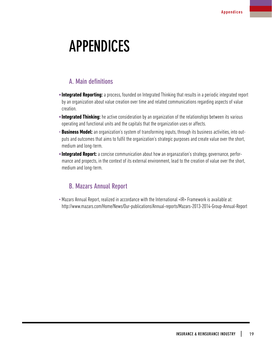# APPENDICES

## A. Main definitions

- **•Integrated Reporting:** a process, founded on Integrated Thinking that results in a periodic integrated report by an organization about value creation over time and related communications regarding aspects of value creation.
- **•Integrated Thinking:** he active consideration by an organization of the relationships between its various operating and functional units and the capitals that the organization uses or affects.
- **Business Model:** an organization's system of transforming inputs, through its business activities, into outputs and outcomes that aims to fulfil the organization's strategic purposes and create value over the short, medium and long-term.
- **•Integrated Report:** a concise communication about how an organazation's strategy, governance, performance and propects, in the context of its external environment, lead to the creation of value over the short, medium and long-term.

## B. Mazars Annual Report

•Mazars Annual Report, realized in accordance with the International <IR> Framework is available at: http://www.mazars.com/Home/News/Our-publications/Annual-reports/Mazars-2013-2014-Group-Annual-Report